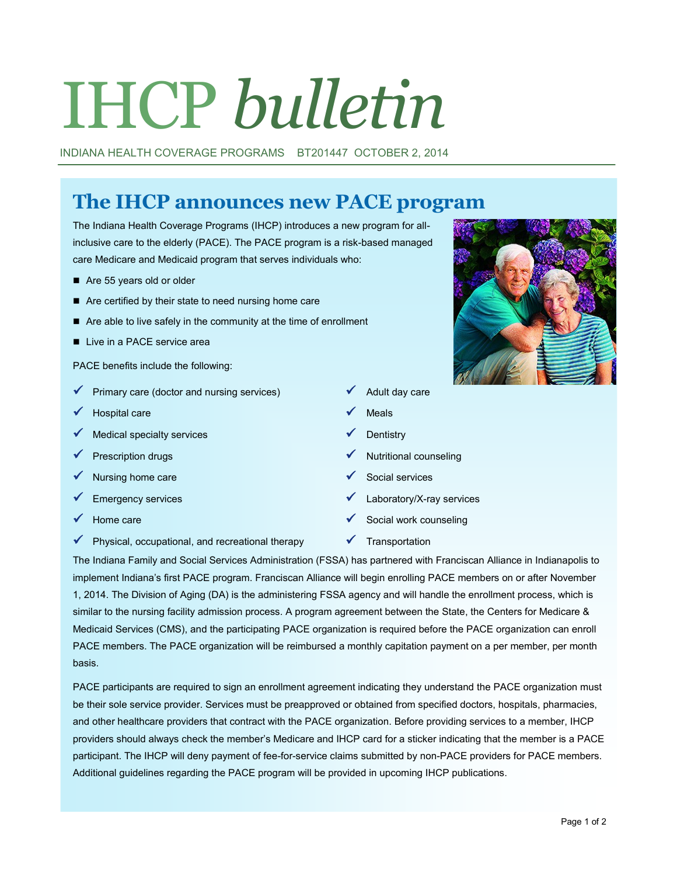# IHCP *bulletin*

INDIANA HEALTH COVERAGE PROGRAMS BT201447 OCTOBER 2, 2014

# **The IHCP announces new PACE program**

The Indiana Health Coverage Programs (IHCP) introduces a new program for allinclusive care to the elderly (PACE). The PACE program is a risk-based managed care Medicare and Medicaid program that serves individuals who:

- Are 55 years old or older
- Are certified by their state to need nursing home care
- Are able to live safely in the community at the time of enrollment
- Live in a PACE service area

PACE benefits include the following:

- Primary care (doctor and nursing services)  $\checkmark$  Adult day care
- $H$ ospital care  $M$  Meals
- Medical specialty services  $\checkmark$  Dentistry
- 
- Nursing home care  $\checkmark$  Social services
- 
- 
- $\checkmark$  Physical, occupational, and recreational therapy  $\checkmark$  Transportation
- 
- 
- 
- Prescription drugs **Nutritional counseling** 
	-
- Emergency services Laboratory/X-ray services
- Home care  $\checkmark$  Social work counseling
	-

The Indiana Family and Social Services Administration (FSSA) has partnered with Franciscan Alliance in Indianapolis to implement Indiana's first PACE program. Franciscan Alliance will begin enrolling PACE members on or after November 1, 2014. The Division of Aging (DA) is the administering FSSA agency and will handle the enrollment process, which is similar to the nursing facility admission process. A program agreement between the State, the Centers for Medicare & Medicaid Services (CMS), and the participating PACE organization is required before the PACE organization can enroll PACE members. The PACE organization will be reimbursed a monthly capitation payment on a per member, per month basis.

PACE participants are required to sign an enrollment agreement indicating they understand the PACE organization must be their sole service provider. Services must be preapproved or obtained from specified doctors, hospitals, pharmacies, and other healthcare providers that contract with the PACE organization. Before providing services to a member, IHCP providers should always check the member's Medicare and IHCP card for a sticker indicating that the member is a PACE participant. The IHCP will deny payment of fee-for-service claims submitted by non-PACE providers for PACE members. Additional guidelines regarding the PACE program will be provided in upcoming IHCP publications.